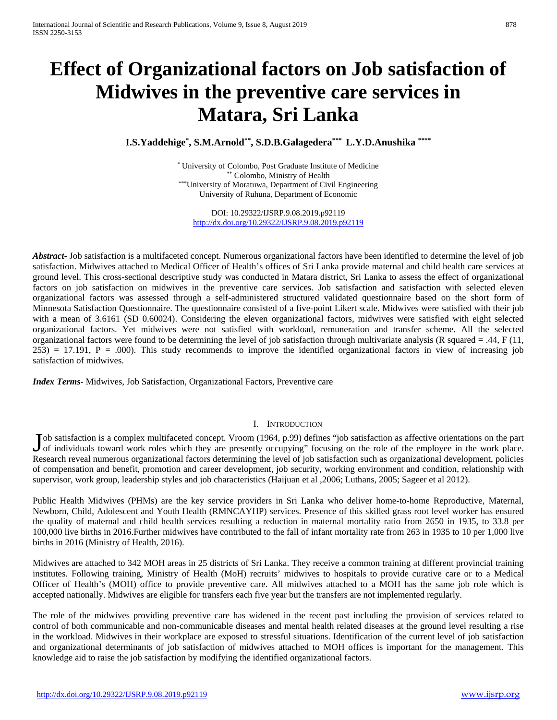# **Effect of Organizational factors on Job satisfaction of Midwives in the preventive care services in Matara, Sri Lanka**

**I.S.Yaddehige\* , S.M.Arnold\*\*, S.D.B.Galagedera\*\*\* L.Y.D.Anushika \*\*\*\***

\* University of Colombo, Post Graduate Institute of Medicine \*\* Colombo, Ministry of Health \*\*\*University of Moratuwa, Department of Civil Engineering University of Ruhuna, Department of Economic

DOI: 10.29322/IJSRP.9.08.2019.p92119 <http://dx.doi.org/10.29322/IJSRP.9.08.2019.p92119>

*Abstract***-** Job satisfaction is a multifaceted concept. Numerous organizational factors have been identified to determine the level of job satisfaction. Midwives attached to Medical Officer of Health's offices of Sri Lanka provide maternal and child health care services at ground level. This cross-sectional descriptive study was conducted in Matara district, Sri Lanka to assess the effect of organizational factors on job satisfaction on midwives in the preventive care services. Job satisfaction and satisfaction with selected eleven organizational factors was assessed through a self-administered structured validated questionnaire based on the short form of Minnesota Satisfaction Questionnaire. The questionnaire consisted of a five-point Likert scale. Midwives were satisfied with their job with a mean of 3.6161 (SD 0.60024). Considering the eleven organizational factors, midwives were satisfied with eight selected organizational factors. Yet midwives were not satisfied with workload, remuneration and transfer scheme. All the selected organizational factors were found to be determining the level of job satisfaction through multivariate analysis (R squared  $= .44, F(11, 10)$  $253$ ) = 17.191, P = .000). This study recommends to improve the identified organizational factors in view of increasing job satisfaction of midwives.

*Index Terms*- Midwives, Job Satisfaction, Organizational Factors, Preventive care

# I. INTRODUCTION

ob satisfaction is a complex multifaceted concept. Vroom (1964, p.99) defines "job satisfaction as affective orientations on the part Job satisfaction is a complex multifaceted concept. Vroom (1964, p.99) defines "job satisfaction as affective orientations on the part of individuals toward work roles which they are presently occupying" focusing on the ro Research reveal numerous organizational factors determining the level of job satisfaction such as organizational development, policies of compensation and benefit, promotion and career development, job security, working environment and condition, relationship with supervisor, work group, leadership styles and job characteristics (Haijuan et al ,2006; Luthans, 2005; Sageer et al 2012).

Public Health Midwives (PHMs) are the key service providers in Sri Lanka who deliver home-to-home Reproductive, Maternal, Newborn, Child, Adolescent and Youth Health (RMNCAYHP) services. Presence of this skilled grass root level worker has ensured the quality of maternal and child health services resulting a reduction in maternal mortality ratio from 2650 in 1935, to 33.8 per 100,000 live births in 2016.Further midwives have contributed to the fall of infant mortality rate from 263 in 1935 to 10 per 1,000 live births in 2016 (Ministry of Health, 2016).

Midwives are attached to 342 MOH areas in 25 districts of Sri Lanka. They receive a common training at different provincial training institutes. Following training, Ministry of Health (MoH) recruits' midwives to hospitals to provide curative care or to a Medical Officer of Health's (MOH) office to provide preventive care. All midwives attached to a MOH has the same job role which is accepted nationally. Midwives are eligible for transfers each five year but the transfers are not implemented regularly.

The role of the midwives providing preventive care has widened in the recent past including the provision of services related to control of both communicable and non-communicable diseases and mental health related diseases at the ground level resulting a rise in the workload. Midwives in their workplace are exposed to stressful situations. Identification of the current level of job satisfaction and organizational determinants of job satisfaction of midwives attached to MOH offices is important for the management. This knowledge aid to raise the job satisfaction by modifying the identified organizational factors.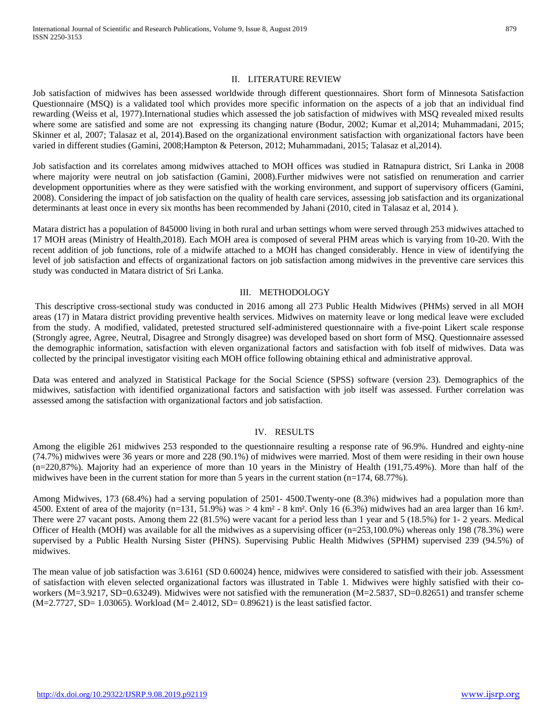## II. LITERATURE REVIEW

Job satisfaction of midwives has been assessed worldwide through different questionnaires. Short form of Minnesota Satisfaction Questionnaire (MSQ) is a validated tool which provides more specific information on the aspects of a job that an individual find rewarding (Weiss et al, 1977).International studies which assessed the job satisfaction of midwives with MSQ revealed mixed results where some are satisfied and some are not expressing its changing nature (Bodur, 2002; Kumar et al,2014; Muhammadani, 2015; Skinner et al, 2007; Talasaz et al, 2014).Based on the organizational environment satisfaction with organizational factors have been varied in different studies (Gamini, 2008;Hampton & Peterson, 2012; Muhammadani, 2015; Talasaz et al,2014).

Job satisfaction and its correlates among midwives attached to MOH offices was studied in Ratnapura district, Sri Lanka in 2008 where majority were neutral on job satisfaction (Gamini, 2008). Further midwives were not satisfied on renumeration and carrier development opportunities where as they were satisfied with the working environment, and support of supervisory officers (Gamini, 2008). Considering the impact of job satisfaction on the quality of health care services, assessing job satisfaction and its organizational determinants at least once in every six months has been recommended by Jahani (2010, cited in Talasaz et al, 2014 ).

Matara district has a population of 845000 living in both rural and urban settings whom were served through 253 midwives attached to 17 MOH areas (Ministry of Health,2018). Each MOH area is composed of several PHM areas which is varying from 10-20. With the recent addition of job functions, role of a midwife attached to a MOH has changed considerably. Hence in view of identifying the level of job satisfaction and effects of organizational factors on job satisfaction among midwives in the preventive care services this study was conducted in Matara district of Sri Lanka.

## III. METHODOLOGY

This descriptive cross-sectional study was conducted in 2016 among all 273 Public Health Midwives (PHMs) served in all MOH areas (17) in Matara district providing preventive health services. Midwives on maternity leave or long medical leave were excluded from the study. A modified, validated, pretested structured self-administered questionnaire with a five-point Likert scale response (Strongly agree, Agree, Neutral, Disagree and Strongly disagree) was developed based on short form of MSQ. Questionnaire assessed the demographic information, satisfaction with eleven organizational factors and satisfaction with fob itself of midwives. Data was collected by the principal investigator visiting each MOH office following obtaining ethical and administrative approval.

Data was entered and analyzed in Statistical Package for the Social Science (SPSS) software (version 23). Demographics of the midwives, satisfaction with identified organizational factors and satisfaction with job itself was assessed. Further correlation was assessed among the satisfaction with organizational factors and job satisfaction.

## IV. RESULTS

Among the eligible 261 midwives 253 responded to the questionnaire resulting a response rate of 96.9%. Hundred and eighty-nine (74.7%) midwives were 36 years or more and 228 (90.1%) of midwives were married. Most of them were residing in their own house (n=220,87%). Majority had an experience of more than 10 years in the Ministry of Health (191,75.49%). More than half of the midwives have been in the current station for more than 5 years in the current station  $(n=174, 68.77\%)$ .

Among Midwives, 173 (68.4%) had a serving population of 2501- 4500.Twenty-one (8.3%) midwives had a population more than 4500. Extent of area of the majority (n=131, 51.9%) was  $> 4 \text{ km}^2$  - 8 km². Only 16 (6.3%) midwives had an area larger than 16 km². There were 27 vacant posts. Among them 22 (81.5%) were vacant for a period less than 1 year and 5 (18.5%) for 1- 2 years. Medical Officer of Health (MOH) was available for all the midwives as a supervising officer  $(n=253,100.0\%)$  whereas only 198 (78.3%) were supervised by a Public Health Nursing Sister (PHNS). Supervising Public Health Midwives (SPHM) supervised 239 (94.5%) of midwives.

The mean value of job satisfaction was 3.6161 (SD 0.60024) hence, midwives were considered to satisfied with their job. Assessment of satisfaction with eleven selected organizational factors was illustrated in Table 1. Midwives were highly satisfied with their coworkers (M=3.9217, SD=0.63249). Midwives were not satisfied with the remuneration (M=2.5837, SD=0.82651) and transfer scheme (M=2.7727, SD= 1.03065). Workload (M= 2.4012, SD= 0.89621) is the least satisfied factor.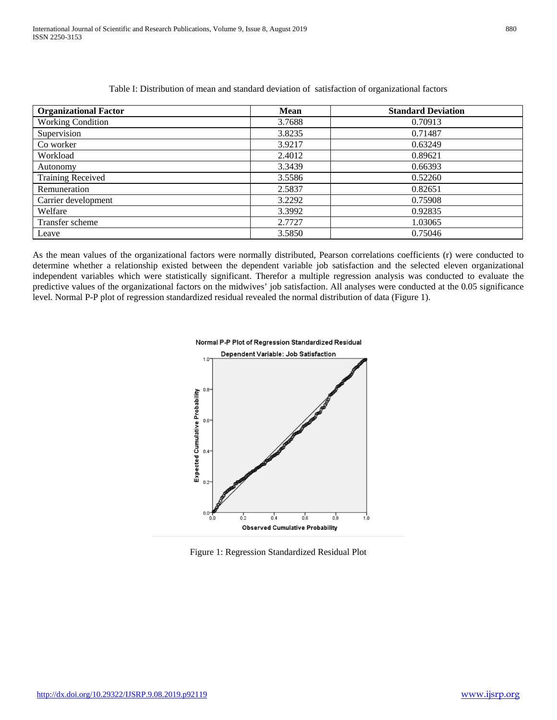| <b>Organizational Factor</b> | <b>Mean</b> | <b>Standard Deviation</b> |
|------------------------------|-------------|---------------------------|
| <b>Working Condition</b>     | 3.7688      | 0.70913                   |
| Supervision                  | 3.8235      | 0.71487                   |
| Co worker                    | 3.9217      | 0.63249                   |
| Workload                     | 2.4012      | 0.89621                   |
| Autonomy                     | 3.3439      | 0.66393                   |
| <b>Training Received</b>     | 3.5586      | 0.52260                   |
| Remuneration                 | 2.5837      | 0.82651                   |
| Carrier development          | 3.2292      | 0.75908                   |
| Welfare                      | 3.3992      | 0.92835                   |
| Transfer scheme              | 2.7727      | 1.03065                   |
| Leave                        | 3.5850      | 0.75046                   |

Table I: Distribution of mean and standard deviation of satisfaction of organizational factors

As the mean values of the organizational factors were normally distributed, Pearson correlations coefficients (r) were conducted to determine whether a relationship existed between the dependent variable job satisfaction and the selected eleven organizational independent variables which were statistically significant. Therefor a multiple regression analysis was conducted to evaluate the predictive values of the organizational factors on the midwives' job satisfaction. All analyses were conducted at the 0.05 significance level. Normal P-P plot of regression standardized residual revealed the normal distribution of data (Figure 1).



Figure 1: Regression Standardized Residual Plot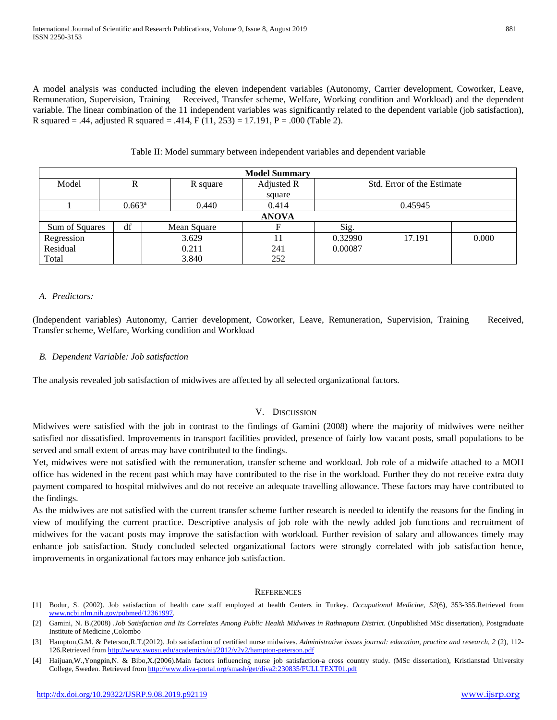A model analysis was conducted including the eleven independent variables (Autonomy, Carrier development, Coworker, Leave, Remuneration, Supervision, Training Received, Transfer scheme, Welfare, Working condition and Workload) and the dependent variable. The linear combination of the 11 independent variables was significantly related to the dependent variable (job satisfaction), R squared = .44, adjusted R squared = .414,  $F(11, 253) = 17.191$ ,  $P = .000$  (Table 2).

Table II: Model summary between independent variables and dependent variable

| <b>Model Summary</b>  |                 |             |            |                            |        |       |  |  |
|-----------------------|-----------------|-------------|------------|----------------------------|--------|-------|--|--|
| Model                 | ĸ               | R square    | Adjusted R | Std. Error of the Estimate |        |       |  |  |
|                       |                 |             | square     |                            |        |       |  |  |
|                       | $0.663^{\rm a}$ | 0.440       | 0.414      | 0.45945                    |        |       |  |  |
| <b>ANOVA</b>          |                 |             |            |                            |        |       |  |  |
| <b>Sum of Squares</b> | df              | Mean Square |            | Sig.                       |        |       |  |  |
| Regression            |                 | 3.629       |            | 0.32990                    | 17.191 | 0.000 |  |  |
| Residual              |                 | 0.211       | 241        | 0.00087                    |        |       |  |  |
| Total                 |                 | 3.840       | 252        |                            |        |       |  |  |

# *A. Predictors:*

(Independent variables) Autonomy, Carrier development, Coworker, Leave, Remuneration, Supervision, Training Received, Transfer scheme, Welfare, Working condition and Workload

## *B. Dependent Variable: Job satisfaction*

The analysis revealed job satisfaction of midwives are affected by all selected organizational factors.

## V. DISCUSSION

Midwives were satisfied with the job in contrast to the findings of Gamini (2008) where the majority of midwives were neither satisfied nor dissatisfied. Improvements in transport facilities provided, presence of fairly low vacant posts, small populations to be served and small extent of areas may have contributed to the findings.

Yet, midwives were not satisfied with the remuneration, transfer scheme and workload. Job role of a midwife attached to a MOH office has widened in the recent past which may have contributed to the rise in the workload. Further they do not receive extra duty payment compared to hospital midwives and do not receive an adequate travelling allowance. These factors may have contributed to the findings.

As the midwives are not satisfied with the current transfer scheme further research is needed to identify the reasons for the finding in view of modifying the current practice. Descriptive analysis of job role with the newly added job functions and recruitment of midwives for the vacant posts may improve the satisfaction with workload. Further revision of salary and allowances timely may enhance job satisfaction. Study concluded selected organizational factors were strongly correlated with job satisfaction hence, improvements in organizational factors may enhance job satisfaction.

## **REFERENCES**

[1] Bodur, S. (2002). Job satisfaction of health care staff employed at health Centers in Turkey. *Occupational Medicine*, *52*(6), 353-355.Retrieved from [www.ncbi.nlm.nih.gov/pubmed/12361997.](http://www.ncbi.nlm.nih.gov/pubmed/12361997)

<sup>[2]</sup> Gamini, N. B.(2008) .*Job Satisfaction and Its Correlates Among Public Health Midwives in Rathnaputa District*. (Unpublished MSc dissertation), Postgraduate Institute of Medicine ,Colombo

<sup>[3]</sup> Hampton,G.M. & Peterson,R.T.(2012). Job satisfaction of certified nurse midwives. *Administrative issues journal: education, practice and research*, *2* (2), 112- 126.Retrieved fro[m http://www.swosu.edu/academics/aij/2012/v2v2/hampton-peterson.pdf](http://www.swosu.edu/academics/aij/2012/v2v2/hampton-peterson.pdf)

<sup>[4]</sup> Haijuan,W.,Yongpin,N. & Bibo,X.(2006).Main factors influencing nurse job satisfaction-a cross country study. (MSc dissertation), Kristianstad University College, Sweden. Retrieved from [http://www.diva-portal.org/smash/get/diva2:230835/FULLTEXT01.pd](http://www.diva-portal.org/smash/get/diva2:230835/FULLTEXT01.p)f